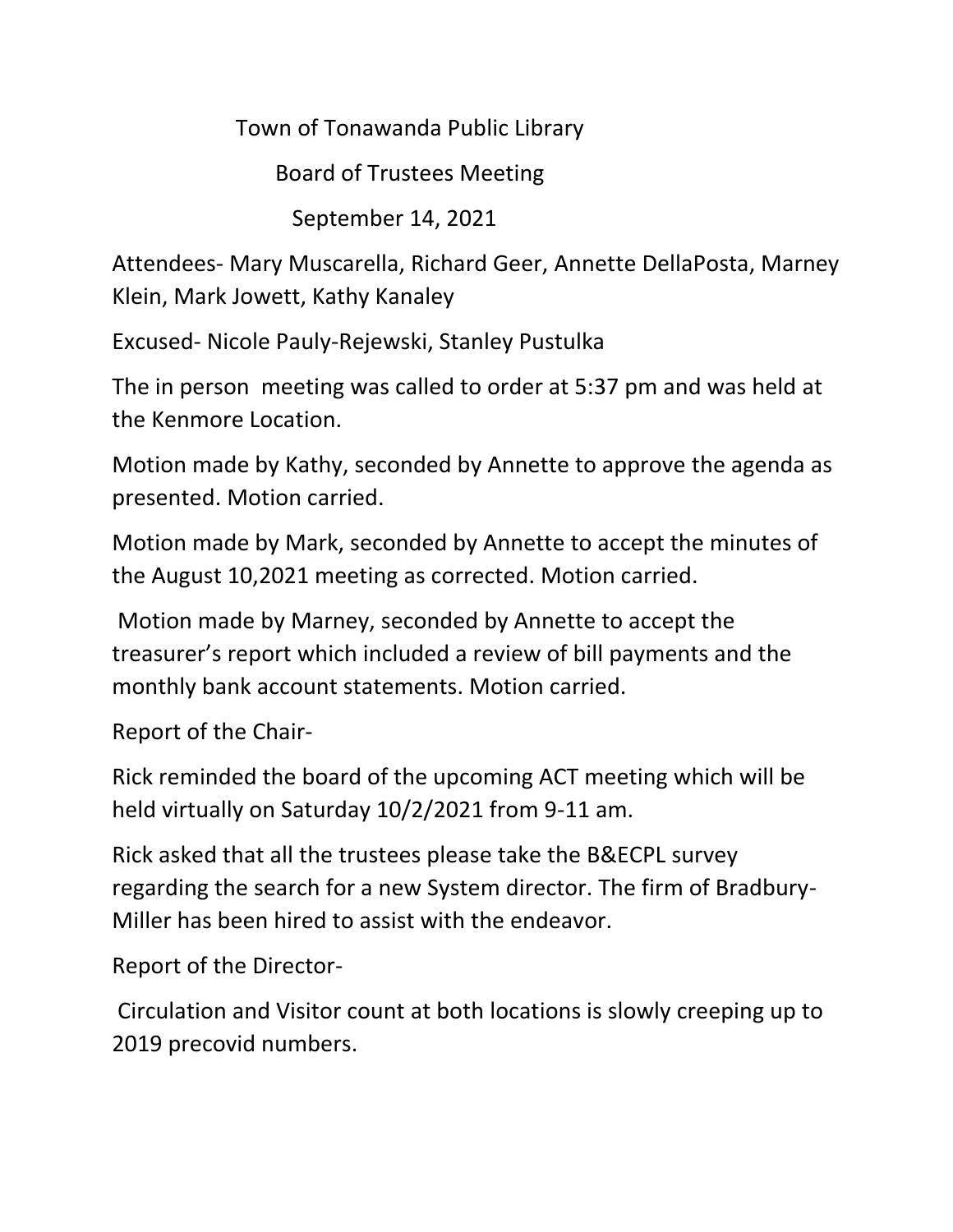Town of Tonawanda Public Library

Board of Trustees Meeting

September 14, 2021

Attendees- Mary Muscarella, Richard Geer, Annette DellaPosta, Marney Klein, Mark Jowett, Kathy Kanaley

Excused- Nicole Pauly-Rejewski, Stanley Pustulka

The in person meeting was called to order at 5:37 pm and was held at the Kenmore Location.

Motion made by Kathy, seconded by Annette to approve the agenda as presented. Motion carried.

Motion made by Mark, seconded by Annette to accept the minutes of the August 10,2021 meeting as corrected. Motion carried.

Motion made by Marney, seconded by Annette to accept the treasurer's report which included a review of bill payments and the monthly bank account statements. Motion carried.

Report of the Chair-

Rick reminded the board of the upcoming ACT meeting which will be held virtually on Saturday 10/2/2021 from 9-11 am.

Rick asked that all the trustees please take the B&ECPL survey regarding the search for a new System director. The firm of Bradbury-Miller has been hired to assist with the endeavor.

Report of the Director-

Circulation and Visitor count at both locations is slowly creeping up to 2019 precovid numbers.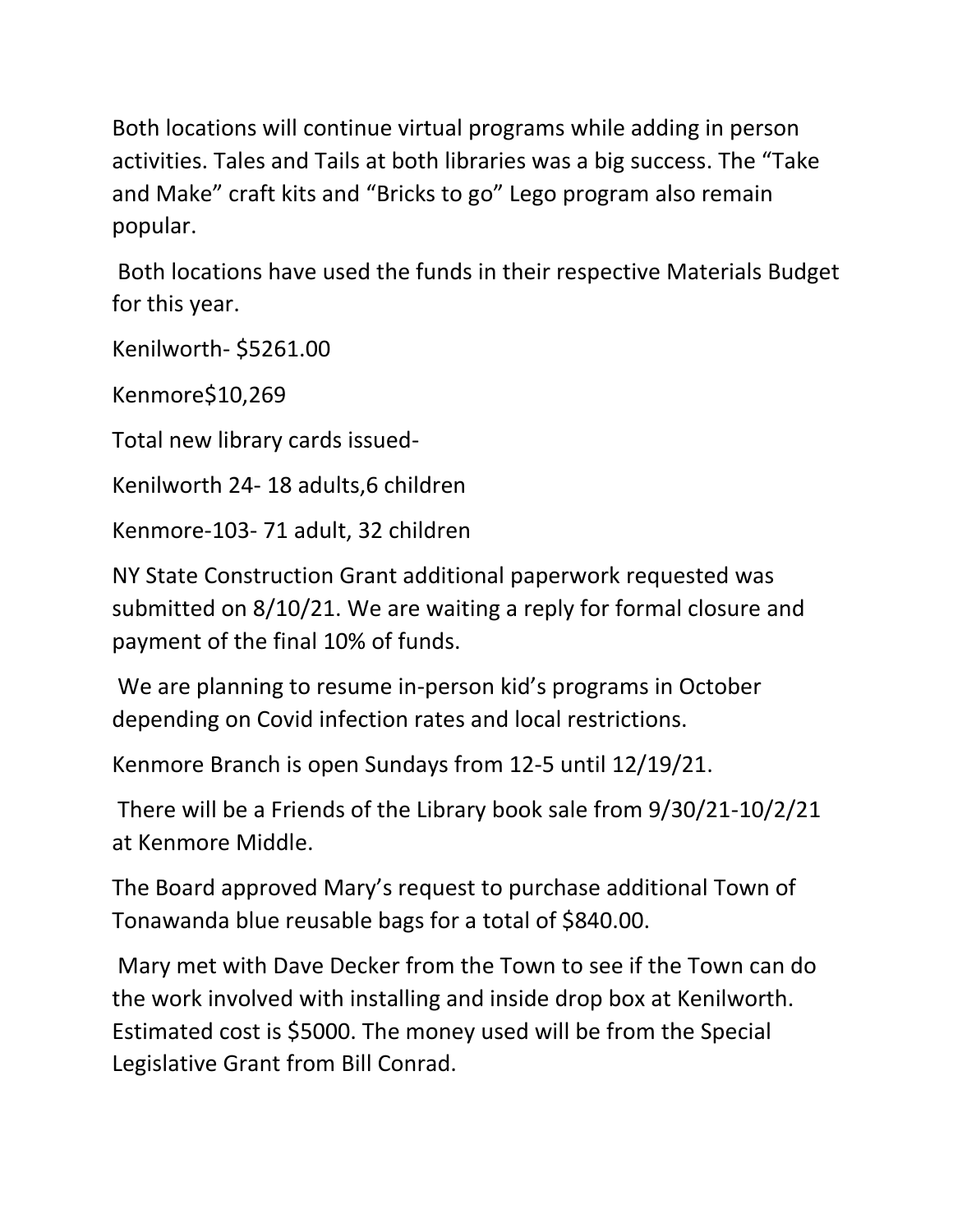Both locations will continue virtual programs while adding in person activities. Tales and Tails at both libraries was a big success. The "Take and Make" craft kits and "Bricks to go" Lego program also remain popular.

Both locations have used the funds in their respective Materials Budget for this year.

Kenilworth- \$5261.00

Kenmore\$10,269

Total new library cards issued-

Kenilworth 24- 18 adults,6 children

Kenmore-103- 71 adult, 32 children

NY State Construction Grant additional paperwork requested was submitted on 8/10/21. We are waiting a reply for formal closure and payment of the final 10% of funds.

We are planning to resume in-person kid's programs in October depending on Covid infection rates and local restrictions.

Kenmore Branch is open Sundays from 12-5 until 12/19/21.

There will be a Friends of the Library book sale from 9/30/21-10/2/21 at Kenmore Middle.

The Board approved Mary's request to purchase additional Town of Tonawanda blue reusable bags for a total of \$840.00.

Mary met with Dave Decker from the Town to see if the Town can do the work involved with installing and inside drop box at Kenilworth. Estimated cost is \$5000. The money used will be from the Special Legislative Grant from Bill Conrad.